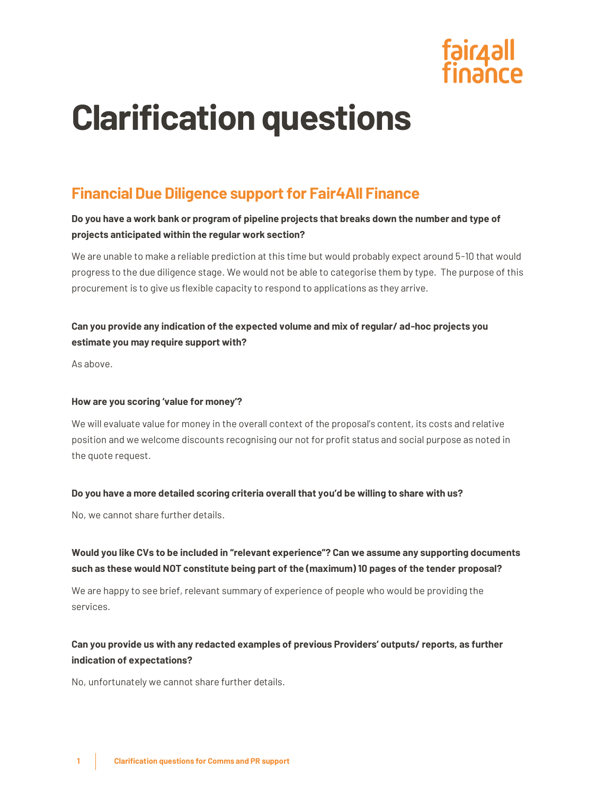

# **Clarification questions**

## **Financial Due Diligence support for Fair4All Finance**

#### **Do you have a work bank or program of pipeline projects that breaks down the number and type of projects anticipated within the regular work section?**

We are unable to make a reliable prediction at this time but would probably expect around 5-10 that would progress to the due diligence stage. We would not be able to categorise them by type. The purpose of this procurement is to give us flexible capacity to respond to applications as they arrive.

### **Can you provide any indication of the expected volume and mix of regular/ ad-hoc projects you estimate you may require support with?**

As above.

#### **How are you scoring 'value for money'?**

We will evaluate value for money in the overall context of the proposal's content, its costs and relative position and we welcome discounts recognising our not for profit status and social purpose as noted in the quote request.

#### **Do you have a more detailed scoring criteria overall that you'd be willing to share with us?**

No, we cannot share further details.

#### **Would you like CVs to be included in "relevant experience"? Can we assume any supporting documents such as these would NOT constitute being part of the (maximum) 10 pages of the tender proposal?**

We are happy to see brief, relevant summary of experience of people who would be providing the services.

### **Can you provide us with any redacted examples of previous Providers' outputs/ reports, as further indication of expectations?**

No, unfortunately we cannot share further details.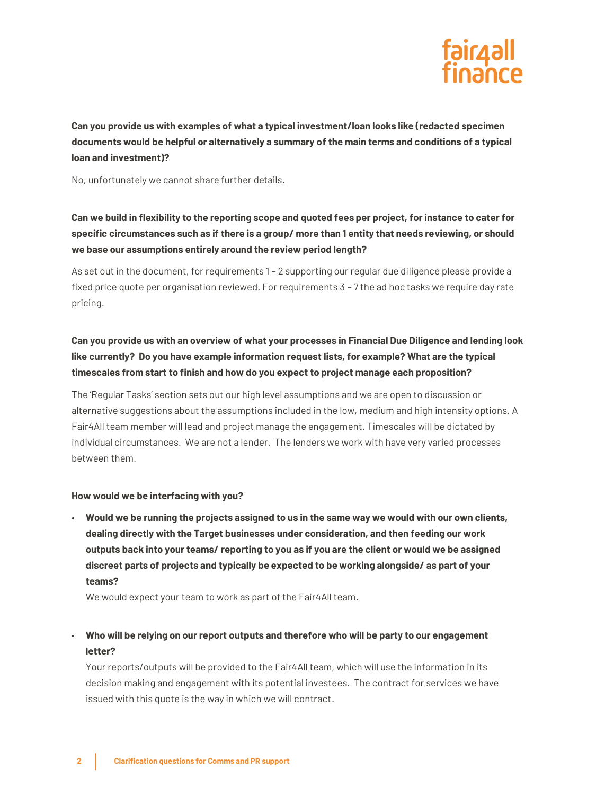

**Can you provide us with examples of what a typical investment/loan looks like (redacted specimen documents would be helpful or alternatively a summary of the main terms and conditions of a typical loan and investment)?**

No, unfortunately we cannot share further details.

## **Can we build in flexibility to the reporting scope and quoted fees per project, for instance to cater for specific circumstances such as if there is a group/ more than 1 entity that needs reviewing, or should we base our assumptions entirely around the review period length?**

As set out in the document, for requirements 1 – 2 supporting our regular due diligence please provide a fixed price quote per organisation reviewed. For requirements 3 – 7 the ad hoc tasks we require day rate pricing.

## **Can you provide us with an overview of what your processes in Financial Due Diligence and lending look like currently? Do you have example information request lists, for example? What are the typical timescales from start to finish and how do you expect to project manage each proposition?**

The 'Regular Tasks' section sets out our high level assumptions and we are open to discussion or alternative suggestions about the assumptions included in the low, medium and high intensity options. A Fair4All team member will lead and project manage the engagement. Timescales will be dictated by individual circumstances. We are not a lender. The lenders we work with have very varied processes between them.

#### **How would we be interfacing with you?**

• **Would we be running the projects assigned to us in the same way we would with our own clients, dealing directly with the Target businesses under consideration, and then feeding our work outputs back into your teams/ reporting to you as if you are the client or would we be assigned discreet parts of projects and typically be expected to be working alongside/ as part of your teams?**

We would expect your team to work as part of the Fair4All team.

### • **Who will be relying on our report outputs and therefore who will be party to our engagement letter?**

Your reports/outputs will be provided to the Fair4All team, which will use the information in its decision making and engagement with its potential investees. The contract for services we have issued with this quote is the way in which we will contract.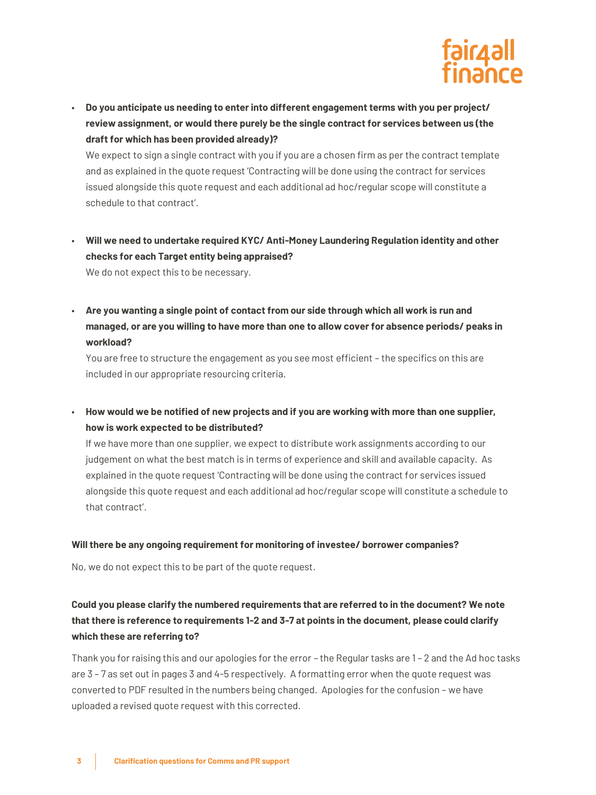

• **Do you anticipate us needing to enter into different engagement terms with you per project/ review assignment, or would there purely be the single contract for services between us (the draft for which has been provided already)?**

We expect to sign a single contract with you if you are a chosen firm as per the contract template and as explained in the quote request 'Contracting will be done using the contract for services issued alongside this quote request and each additional ad hoc/regular scope will constitute a schedule to that contract'.

• **Will we need to undertake required KYC/ Anti-Money Laundering Regulation identity and other checks for each Target entity being appraised?**

We do not expect this to be necessary.

• **Are you wanting a single point of contact from our side through which all work is run and managed, or are you willing to have more than one to allow cover for absence periods/ peaks in workload?**

You are free to structure the engagement as you see most efficient – the specifics on this are included in our appropriate resourcing criteria.

• **How would we be notified of new projects and if you are working with more than one supplier, how is work expected to be distributed?**

If we have more than one supplier, we expect to distribute work assignments according to our judgement on what the best match is in terms of experience and skill and available capacity. As explained in the quote request 'Contracting will be done using the contract for services issued alongside this quote request and each additional ad hoc/regular scope will constitute a schedule to that contract'.

#### **Will there be any ongoing requirement for monitoring of investee/ borrower companies?**

No, we do not expect this to be part of the quote request.

## **Could you please clarify the numbered requirements that are referred to in the document? We note that there is reference to requirements 1-2 and 3-7 at points in the document, please could clarify which these are referring to?**

Thank you for raising this and our apologies for the error – the Regular tasks are 1 – 2 and the Ad hoc tasks are 3 – 7 as set out in pages 3 and 4-5 respectively. A formatting error when the quote request was converted to PDF resulted in the numbers being changed. Apologies for the confusion – we have uploaded a revised quote request with this corrected.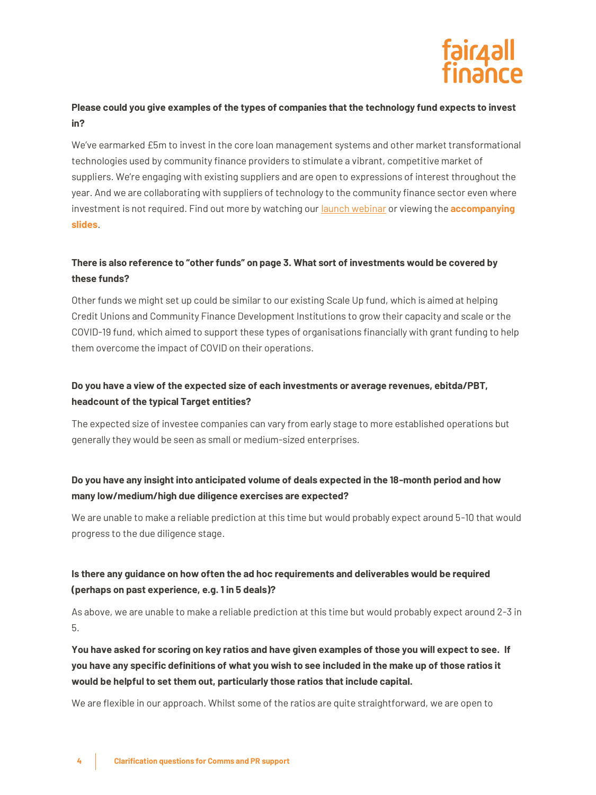

#### **Please could you give examples of the types of companies that the technology fund expects to invest in?**

We've earmarked £5m to invest in the core loan management systems and other market transformational technologies used by community finance providers to stimulate a vibrant, competitive market of suppliers. We're engaging with existing suppliers and are open to expressions of interest throughout the year. And we are collaborating with suppliers of technology to the community finance sector even where investment is not required. Find out more by watching our [launch webinar](https://www.youtube.com/watch?v=j57W75NTICs) or viewing the **[accompanying](https://fair4allfinance.org.uk/wp-content/uploads/2022/05/220228-Technology-Investments-Launch-Webinar.pdf)  [slides](https://fair4allfinance.org.uk/wp-content/uploads/2022/05/220228-Technology-Investments-Launch-Webinar.pdf)**.

## **There is also reference to "other funds" on page 3. What sort of investments would be covered by these funds?**

Other funds we might set up could be similar to our existing Scale Up fund, which is aimed at helping Credit Unions and Community Finance Development Institutions to grow their capacity and scale or the COVID-19 fund, which aimed to support these types of organisations financially with grant funding to help them overcome the impact of COVID on their operations.

#### **Do you have a view of the expected size of each investments or average revenues, ebitda/PBT, headcount of the typical Target entities?**

The expected size of investee companies can vary from early stage to more established operations but generally they would be seen as small or medium-sized enterprises.

#### **Do you have any insight into anticipated volume of deals expected in the 18-month period and how many low/medium/high due diligence exercises are expected?**

We are unable to make a reliable prediction at this time but would probably expect around 5-10 that would progress to the due diligence stage.

### **Is there any guidance on how often the ad hoc requirements and deliverables would be required (perhaps on past experience, e.g. 1 in 5 deals)?**

As above, we are unable to make a reliable prediction at this time but would probably expect around 2-3 in 5.

**You have asked for scoring on key ratios and have given examples of those you will expect to see. If you have any specific definitions of what you wish to see included in the make up of those ratios it would be helpful to set them out, particularly those ratios that include capital.**

We are flexible in our approach. Whilst some of the ratios are quite straightforward, we are open to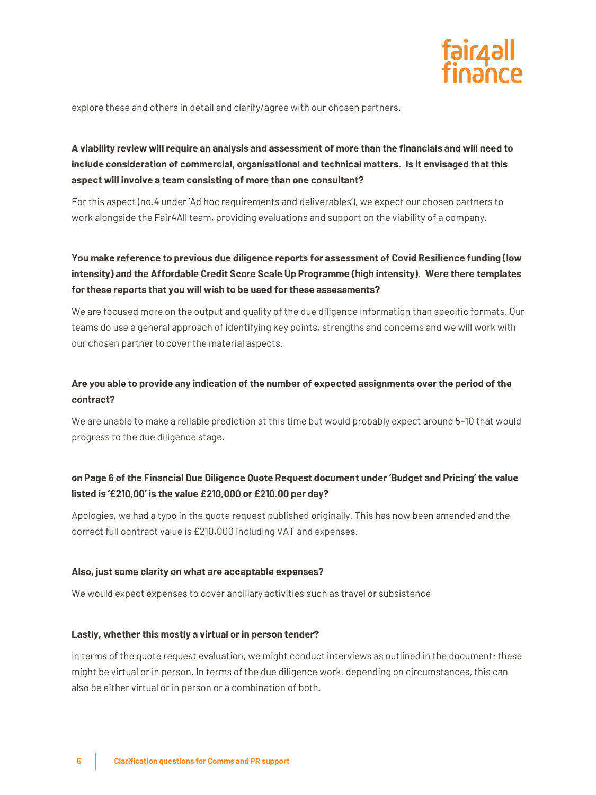

explore these and others in detail and clarify/agree with our chosen partners.

## **A viability review will require an analysis and assessment of more than the financials and will need to include consideration of commercial, organisational and technical matters. Is it envisaged that this aspect will involve a team consisting of more than one consultant?**

For this aspect (no.4 under 'Ad hoc requirements and deliverables'), we expect our chosen partners to work alongside the Fair4All team, providing evaluations and support on the viability of a company.

## **You make reference to previous due diligence reports for assessment of Covid Resilience funding (low intensity) and the Affordable Credit Score Scale Up Programme (high intensity). Were there templates for these reports that you will wish to be used for these assessments?**

We are focused more on the output and quality of the due diligence information than specific formats. Our teams do use a general approach of identifying key points, strengths and concerns and we will work with our chosen partner to cover the material aspects.

## **Are you able to provide any indication of the number of expected assignments over the period of the contract?**

We are unable to make a reliable prediction at this time but would probably expect around 5-10 that would progress to the due diligence stage.

### **on Page 6 of the Financial Due Diligence Quote Request document under 'Budget and Pricing' the value listed is '£210,00' is the value £210,000 or £210.00 per day?**

Apologies, we had a typo in the quote request published originally. This has now been amended and the correct full contract value is £210,000 including VAT and expenses.

#### **Also, just some clarity on what are acceptable expenses?**

We would expect expenses to cover ancillary activities such as travel or subsistence

#### **Lastly, whether this mostly a virtual or in person tender?**

In terms of the quote request evaluation, we might conduct interviews as outlined in the document; these might be virtual or in person. In terms of the due diligence work, depending on circumstances, this can also be either virtual or in person or a combination of both.